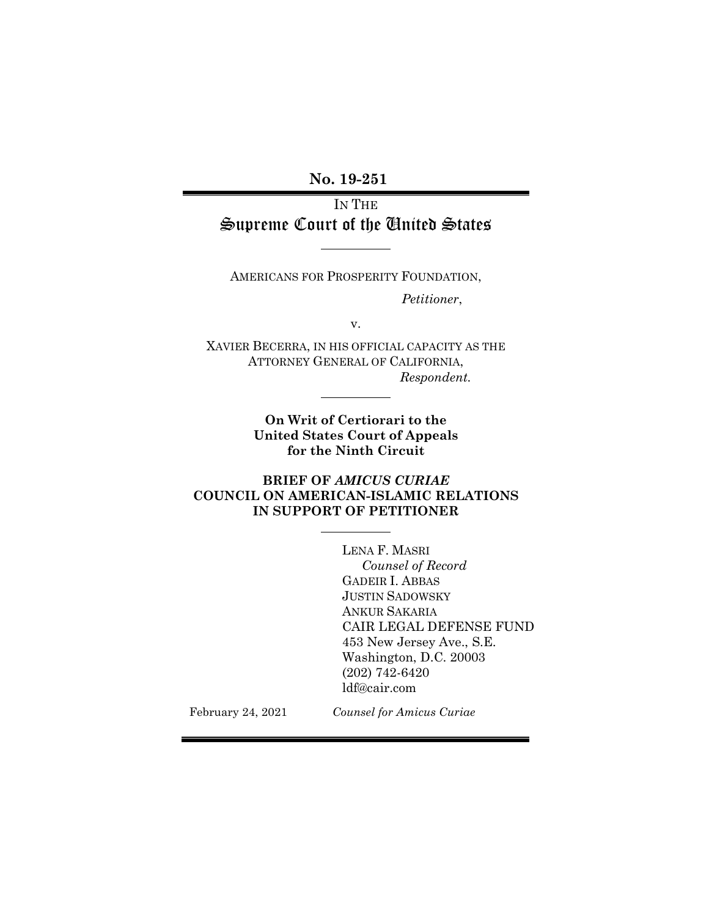**No. 19-251**

IN THE Supreme Court of the United States

AMERICANS FOR PROSPERITY FOUNDATION,

 *Petitioner*,

v.

XAVIER BECERRA, IN HIS OFFICIAL CAPACITY AS THE ATTORNEY GENERAL OF CALIFORNIA,  *Respondent.*

> **On Writ of Certiorari to the United States Court of Appeals for the Ninth Circuit**

**BRIEF OF** *AMICUS CURIAE*  **COUNCIL ON AMERICAN-ISLAMIC RELATIONS IN SUPPORT OF PETITIONER**

> LENA F. MASRI *Counsel of Record* GADEIR I. ABBAS JUSTIN SADOWSKY ANKUR SAKARIA CAIR LEGAL DEFENSE FUND 453 New Jersey Ave., S.E. Washington, D.C. 20003 (202) 742-6420 ldf@cair.com

February 24, 2021 *Counsel for Amicus Curiae*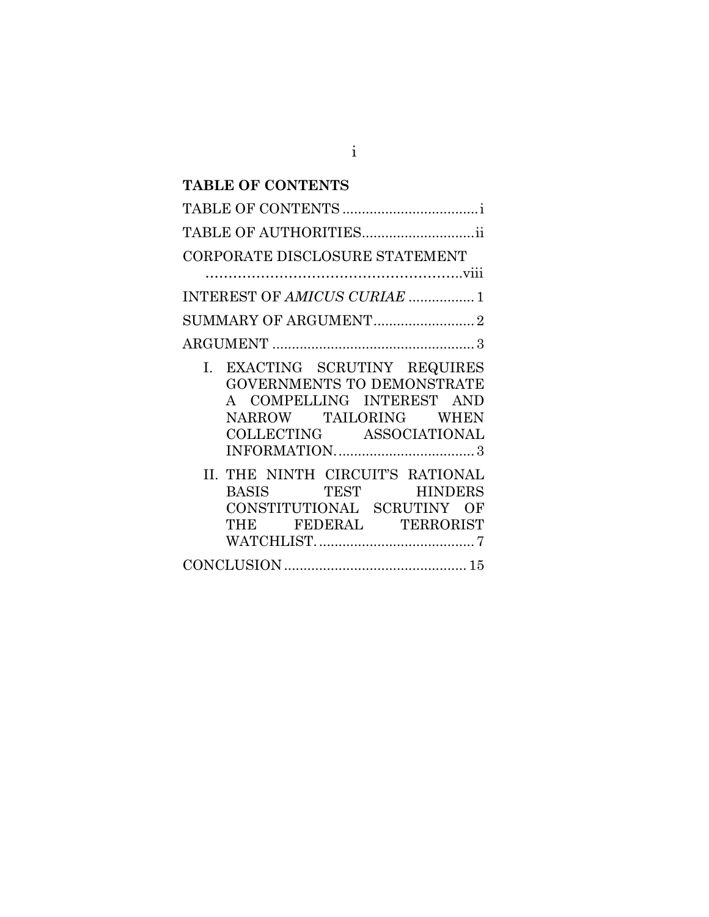## <span id="page-1-0"></span>**TABLE OF CONTENTS**

| TABLE OF AUTHORITIESii                                                                                                                                  |
|---------------------------------------------------------------------------------------------------------------------------------------------------------|
| CORPORATE DISCLOSURE STATEMENT                                                                                                                          |
|                                                                                                                                                         |
| INTEREST OF AMICUS CURIAE  1                                                                                                                            |
|                                                                                                                                                         |
|                                                                                                                                                         |
| EXACTING SCRUTINY REQUIRES<br>L.<br><b>GOVERNMENTS TO DEMONSTRATE</b><br>A COMPELLING INTEREST AND<br>NARROW TAILORING WHEN<br>COLLECTING ASSOCIATIONAL |
| II. THE NINTH CIRCUIT'S RATIONAL<br>BASIS TEST HINDERS<br>CONSTITUTIONAL SCRUTINY OF<br>THE FEDERAL TERRORIST                                           |
|                                                                                                                                                         |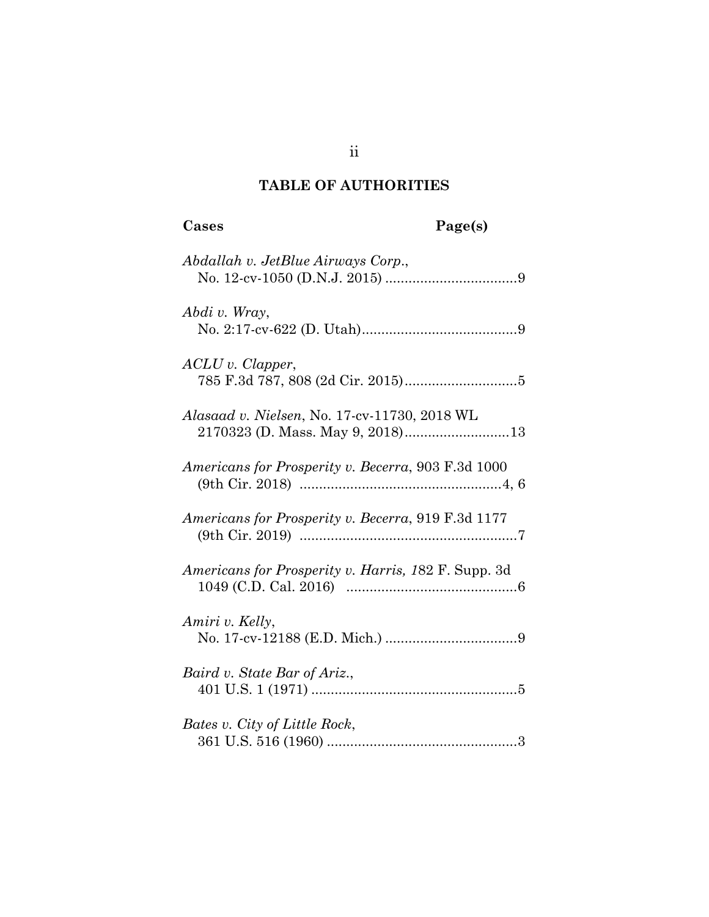# **TABLE OF AUTHORITIES**

<span id="page-2-0"></span>

| Cases                                               | Page(s) |
|-----------------------------------------------------|---------|
| Abdallah v. JetBlue Airways Corp.,                  |         |
| Abdi v. Wray,                                       |         |
| $ACLU$ v. Clapper,                                  |         |
| <i>Alasaad v. Nielsen, No.</i> 17-cv-11730, 2018 WL |         |
| Americans for Prosperity v. Becerra, 903 F.3d 1000  |         |
| Americans for Prosperity v. Becerra, 919 F.3d 1177  |         |
| Americans for Prosperity v. Harris, 182 F. Supp. 3d |         |
| Amiri v. Kelly,                                     |         |
| Baird v. State Bar of Ariz.,                        |         |
| Bates v. City of Little Rock,                       |         |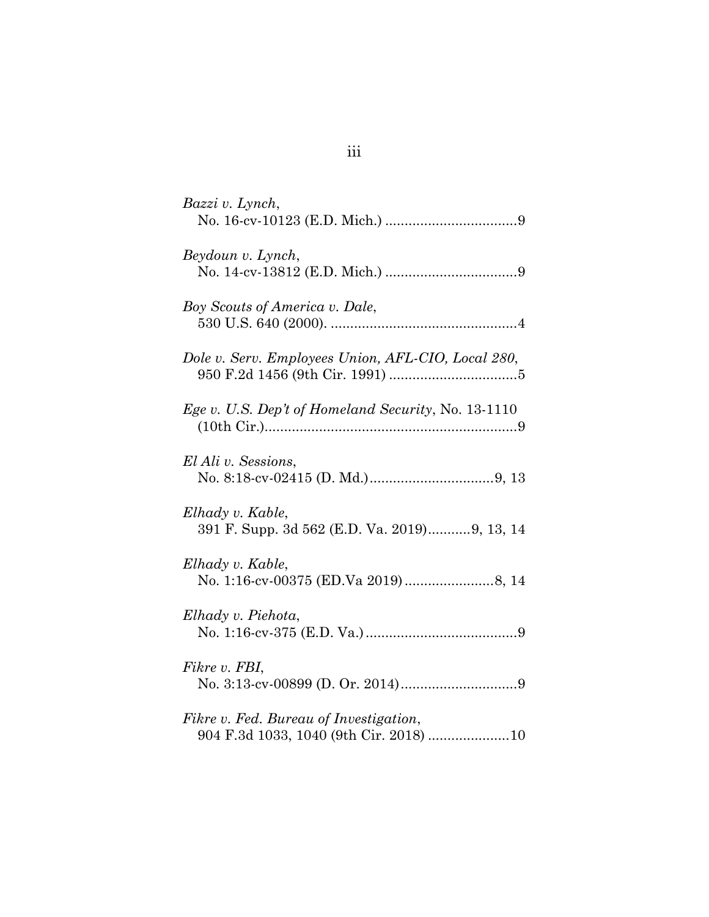| Bazzi v. Lynch,                                                                  |
|----------------------------------------------------------------------------------|
| Beydoun v. Lynch,                                                                |
| Boy Scouts of America v. Dale,                                                   |
| Dole v. Serv. Employees Union, AFL-CIO, Local 280,                               |
| Ege v. U.S. Dep't of Homeland Security, No. 13-1110                              |
| El Ali v. Sessions,                                                              |
| Elhady v. Kable,<br>391 F. Supp. 3d 562 (E.D. Va. 2019)9, 13, 14                 |
| Elhady v. Kable,                                                                 |
| Elhady v. Piehota,                                                               |
| Fikre v. FBI,                                                                    |
| Fikre v. Fed. Bureau of Investigation,<br>904 F.3d 1033, 1040 (9th Cir. 2018) 10 |

# iii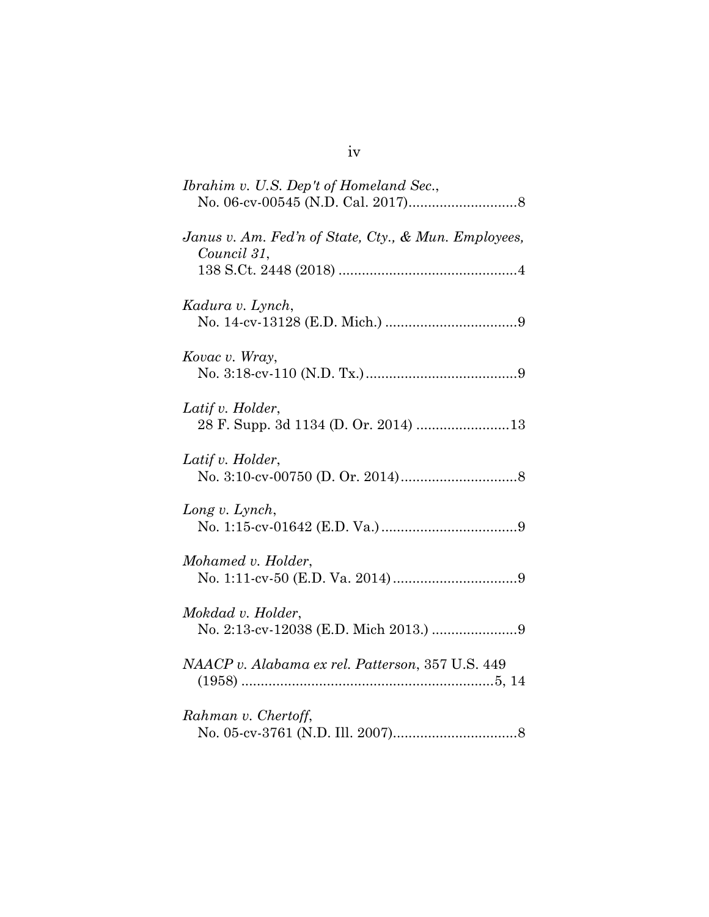| Ibrahim v. U.S. Dep't of Homeland Sec.,                             |
|---------------------------------------------------------------------|
| Janus v. Am. Fed'n of State, Cty., & Mun. Employees,<br>Council 31, |
| Kadura v. Lynch,                                                    |
| Kovac v. Wray,                                                      |
| Latif v. Holder,<br>28 F. Supp. 3d 1134 (D. Or. 2014) 13            |
| Latif v. Holder,                                                    |
| Long v. Lynch,                                                      |
| Mohamed v. Holder,                                                  |
| Mokdad v. Holder,<br>No. 2:13-cv-12038 (E.D. Mich 2013.) 9          |
| NAACP v. Alabama ex rel. Patterson, 357 U.S. 449                    |
| Rahman v. Chertoff,                                                 |

# iv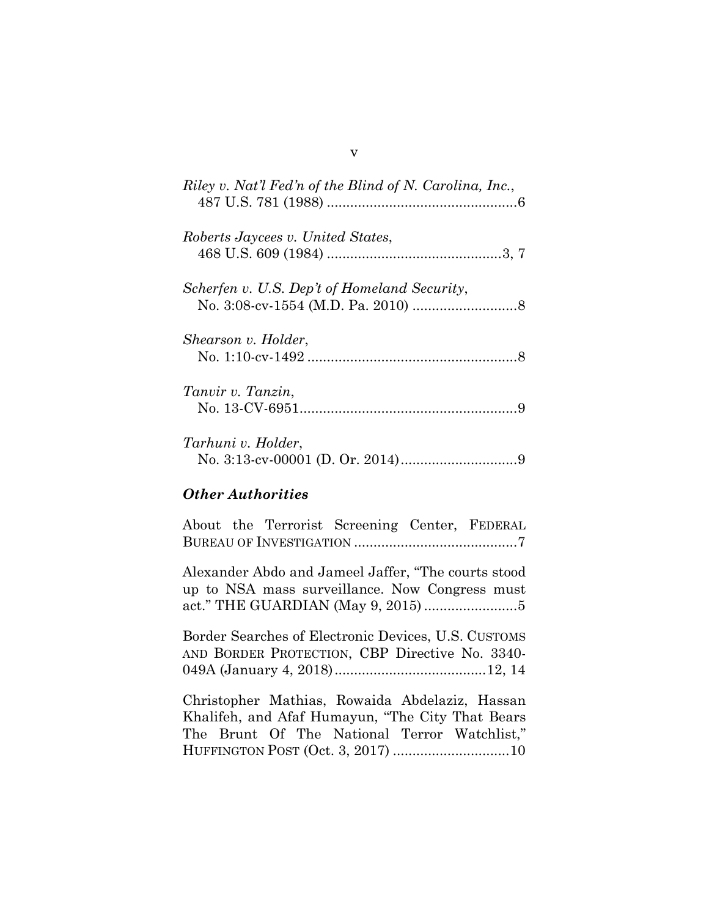| Riley v. Nat'l Fed'n of the Blind of N. Carolina, Inc., |  |
|---------------------------------------------------------|--|
| Roberts Jaycees v. United States,                       |  |
| Scherfen v. U.S. Dep't of Homeland Security,            |  |
| Shearson v. Holder,                                     |  |
| Tanvir v. Tanzin,                                       |  |
| Tarhuni v. Holder,                                      |  |

### *Other Authorities*

|  | About the Terrorist Screening Center, FEDERAL |  |
|--|-----------------------------------------------|--|
|  |                                               |  |

Alexander Abdo and Jameel Jaffer, "The courts stood up to NSA mass surveillance. Now Congress must act." THE GUARDIAN (May 9, 2015) ........................ 5

Border Searches of Electronic Devices, U.S. CUSTOMS AND BORDER PROTECTION, CBP Directive No. 3340- 049A (January 4, 2018).......................................12, 14

Christopher Mathias, Rowaida Abdelaziz, Hassan Khalifeh, and Afaf Humayun, "The City That Bears The Brunt Of The National Terror Watchlist," HUFFINGTON POST (Oct. 3, 2017) ..............................10

v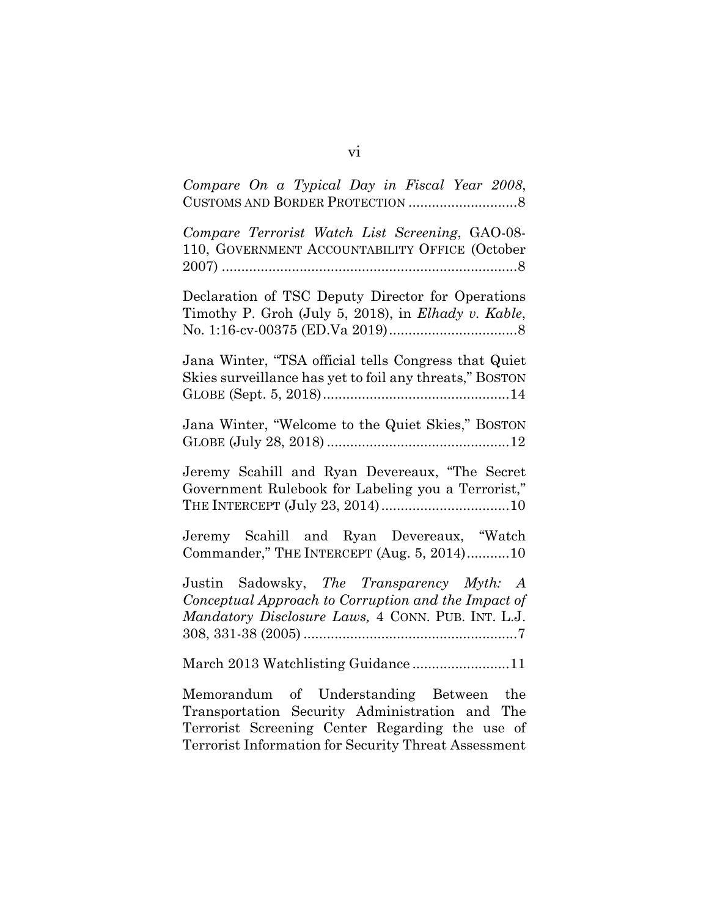| Compare On a Typical Day in Fiscal Year 2008,                                                                                                                                                        |
|------------------------------------------------------------------------------------------------------------------------------------------------------------------------------------------------------|
| Compare Terrorist Watch List Screening, GAO-08-<br>110, GOVERNMENT ACCOUNTABILITY OFFICE (October                                                                                                    |
| Declaration of TSC Deputy Director for Operations<br>Timothy P. Groh (July 5, 2018), in Elhady v. Kable,                                                                                             |
| Jana Winter, "TSA official tells Congress that Quiet<br>Skies surveillance has yet to foil any threats," BOSTON                                                                                      |
| Jana Winter, "Welcome to the Quiet Skies," BOSTON                                                                                                                                                    |
| Jeremy Scahill and Ryan Devereaux, "The Secret<br>Government Rulebook for Labeling you a Terrorist,"                                                                                                 |
| Jeremy Scahill and Ryan Devereaux, "Watch<br>Commander," THE INTERCEPT (Aug. 5, 2014)10                                                                                                              |
| Justin Sadowsky, The Transparency Myth: A<br>Conceptual Approach to Corruption and the Impact of<br>Mandatory Disclosure Laws, 4 CONN. PUB. INT. L.J.                                                |
| March 2013 Watchlisting Guidance11                                                                                                                                                                   |
| Memorandum of Understanding Between the<br>Transportation Security Administration and The<br>Terrorist Screening Center Regarding the use of<br>Terrorist Information for Security Threat Assessment |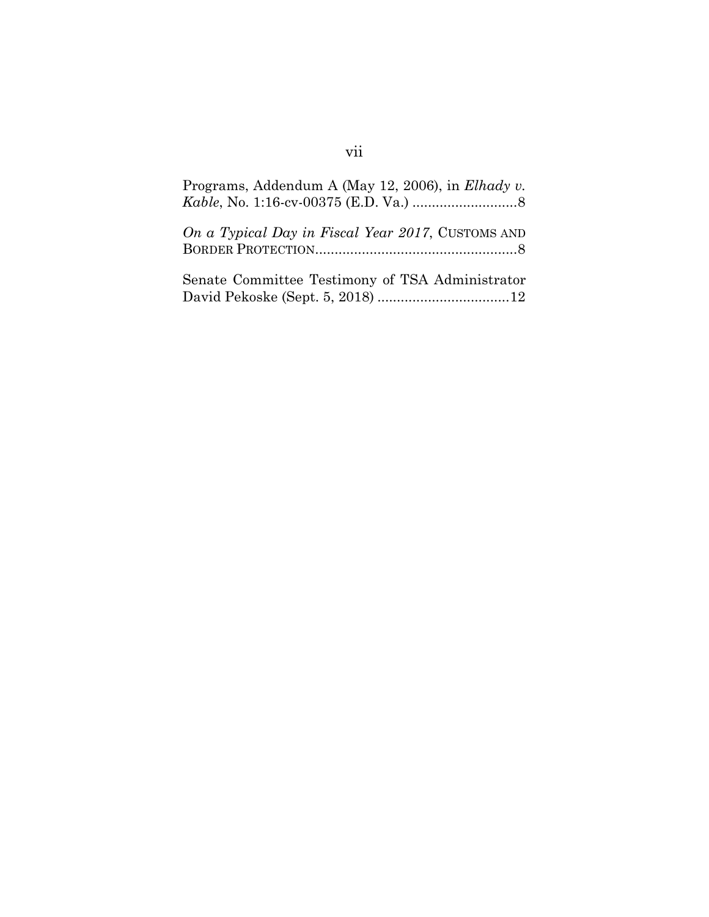| Programs, Addendum A (May 12, 2006), in Elhady v. |
|---------------------------------------------------|
| On a Typical Day in Fiscal Year 2017, CUSTOMS AND |
| Senate Committee Testimony of TSA Administrator   |

# vii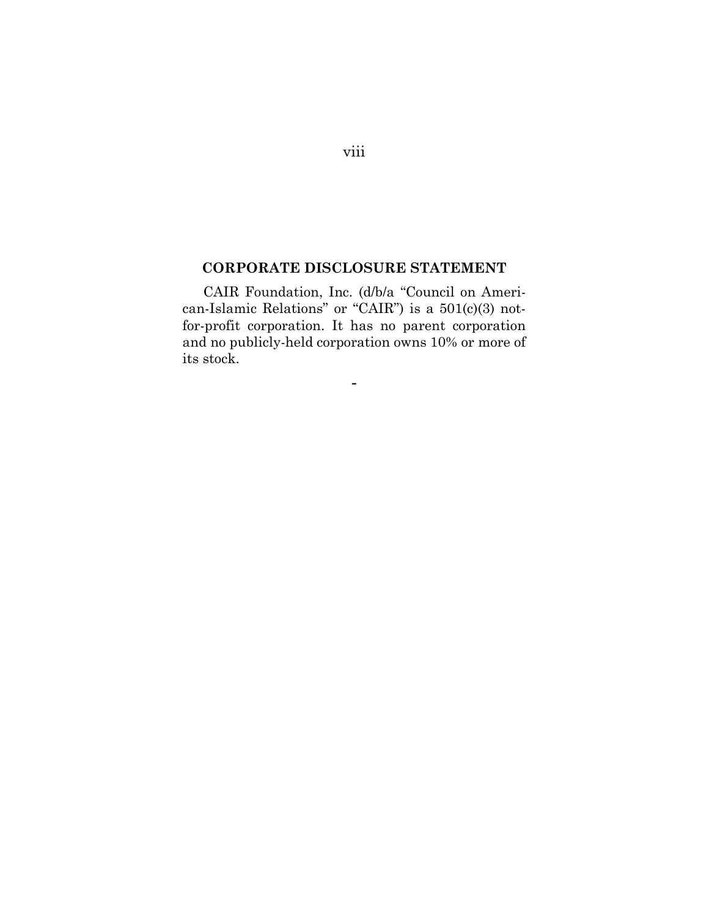### <span id="page-8-0"></span>**CORPORATE DISCLOSURE STATEMENT**

CAIR Foundation, Inc. (d/b/a "Council on American-Islamic Relations" or "CAIR") is a 501(c)(3) notfor-profit corporation. It has no parent corporation and no publicly-held corporation owns 10% or more of its stock.

**-**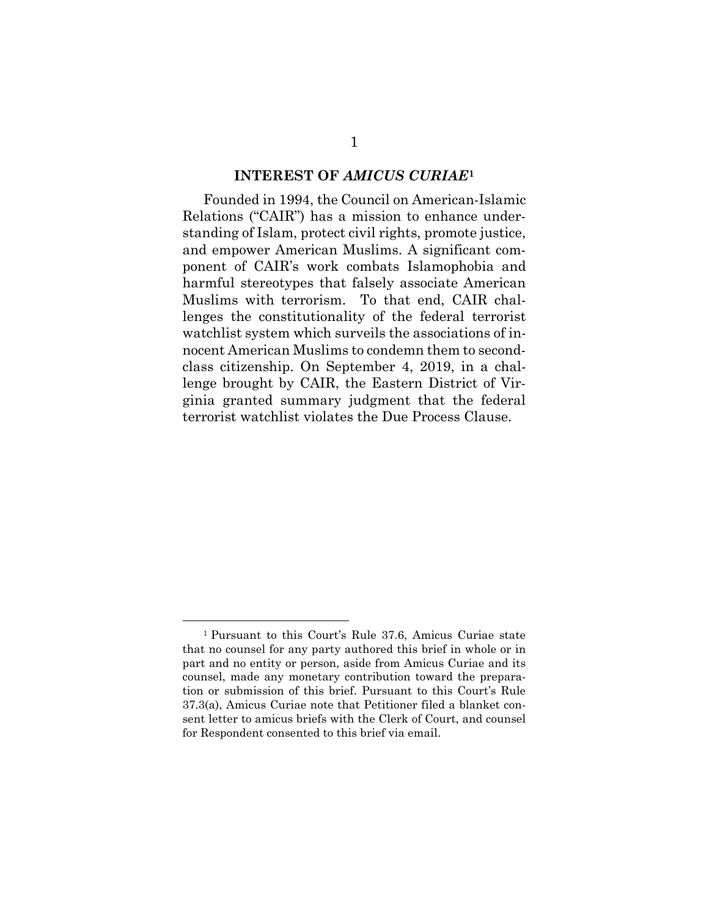#### **INTEREST OF** *AMICUS CURIAE***[1](#page-9-1)**

<span id="page-9-0"></span>Founded in 1994, the Council on American-Islamic Relations ("CAIR") has a mission to enhance understanding of Islam, protect civil rights, promote justice, and empower American Muslims. A significant component of CAIR's work combats Islamophobia and harmful stereotypes that falsely associate American Muslims with terrorism. To that end, CAIR challenges the constitutionality of the federal terrorist watchlist system which surveils the associations of innocent American Muslims to condemn them to secondclass citizenship. On September 4, 2019, in a challenge brought by CAIR, the Eastern District of Virginia granted summary judgment that the federal terrorist watchlist violates the Due Process Clause.

<span id="page-9-1"></span><sup>1</sup> Pursuant to this Court's Rule 37.6, Amicus Curiae state that no counsel for any party authored this brief in whole or in part and no entity or person, aside from Amicus Curiae and its counsel, made any monetary contribution toward the preparation or submission of this brief. Pursuant to this Court's Rule 37.3(a), Amicus Curiae note that Petitioner filed a blanket consent letter to amicus briefs with the Clerk of Court, and counsel for Respondent consented to this brief via email.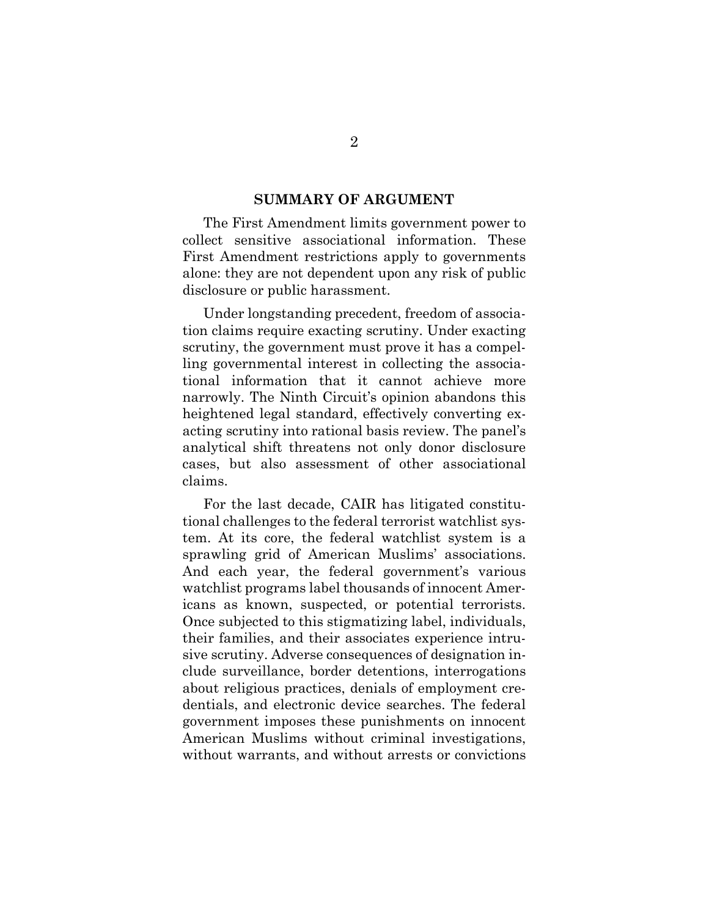#### **SUMMARY OF ARGUMENT**

<span id="page-10-0"></span>The First Amendment limits government power to collect sensitive associational information. These First Amendment restrictions apply to governments alone: they are not dependent upon any risk of public disclosure or public harassment.

Under longstanding precedent, freedom of association claims require exacting scrutiny. Under exacting scrutiny, the government must prove it has a compelling governmental interest in collecting the associational information that it cannot achieve more narrowly. The Ninth Circuit's opinion abandons this heightened legal standard, effectively converting exacting scrutiny into rational basis review. The panel's analytical shift threatens not only donor disclosure cases, but also assessment of other associational claims.

For the last decade, CAIR has litigated constitutional challenges to the federal terrorist watchlist system. At its core, the federal watchlist system is a sprawling grid of American Muslims' associations. And each year, the federal government's various watchlist programs label thousands of innocent Americans as known, suspected, or potential terrorists. Once subjected to this stigmatizing label, individuals, their families, and their associates experience intrusive scrutiny. Adverse consequences of designation include surveillance, border detentions, interrogations about religious practices, denials of employment credentials, and electronic device searches. The federal government imposes these punishments on innocent American Muslims without criminal investigations, without warrants, and without arrests or convictions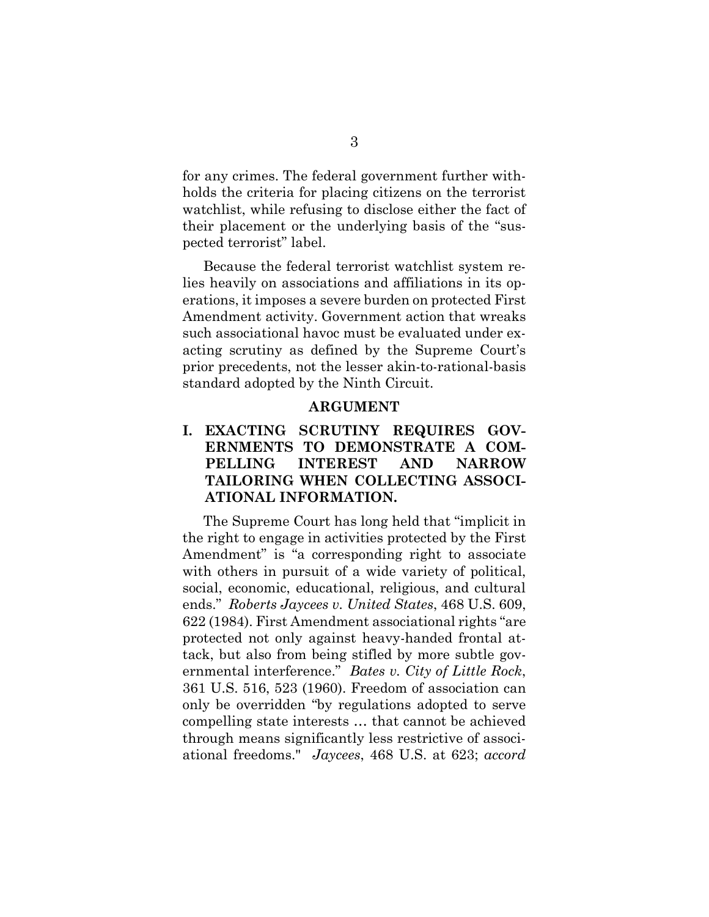for any crimes. The federal government further withholds the criteria for placing citizens on the terrorist watchlist, while refusing to disclose either the fact of their placement or the underlying basis of the "suspected terrorist" label.

Because the federal terrorist watchlist system relies heavily on associations and affiliations in its operations, it imposes a severe burden on protected First Amendment activity. Government action that wreaks such associational havoc must be evaluated under exacting scrutiny as defined by the Supreme Court's prior precedents, not the lesser akin-to-rational-basis standard adopted by the Ninth Circuit.

#### **ARGUMENT**

## <span id="page-11-1"></span><span id="page-11-0"></span>**I. EXACTING SCRUTINY REQUIRES GOV-ERNMENTS TO DEMONSTRATE A COM-PELLING INTEREST AND NARROW TAILORING WHEN COLLECTING ASSOCI-ATIONAL INFORMATION.**

The Supreme Court has long held that "implicit in the right to engage in activities protected by the First Amendment" is "a corresponding right to associate with others in pursuit of a wide variety of political, social, economic, educational, religious, and cultural ends." *Roberts Jaycees v. United States*, 468 U.S. 609, 622 (1984). First Amendment associational rights "are protected not only against heavy-handed frontal attack, but also from being stifled by more subtle governmental interference." *Bates v. City of Little Rock*, 361 U.S. 516, 523 (1960). Freedom of association can only be overridden "by regulations adopted to serve compelling state interests … that cannot be achieved through means significantly less restrictive of associational freedoms." *Jaycees*, 468 U.S. at 623; *accord*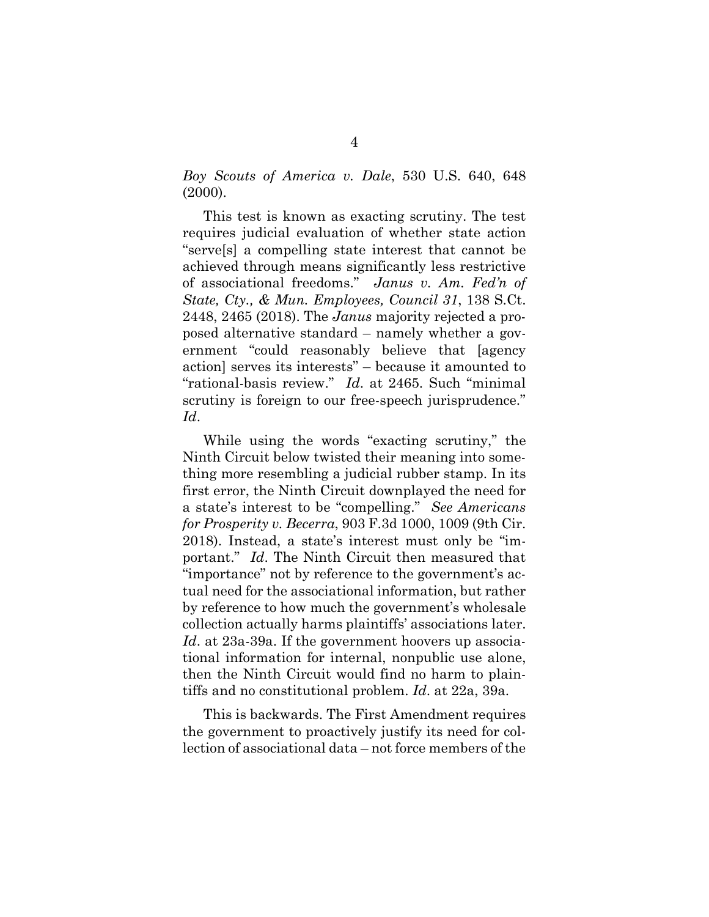*Boy Scouts of America v. Dale*, 530 U.S. 640, 648 (2000).

This test is known as exacting scrutiny. The test requires judicial evaluation of whether state action "serve[s] a compelling state interest that cannot be achieved through means significantly less restrictive of associational freedoms." *Janus v. Am. Fed'n of State, Cty., & Mun. Employees, Council 31*, 138 S.Ct. 2448, 2465 (2018). The *Janus* majority rejected a proposed alternative standard – namely whether a government "could reasonably believe that [agency action] serves its interests" – because it amounted to "rational-basis review." *Id*. at 2465. Such "minimal scrutiny is foreign to our free-speech jurisprudence." *Id*.

While using the words "exacting scrutiny," the Ninth Circuit below twisted their meaning into something more resembling a judicial rubber stamp. In its first error, the Ninth Circuit downplayed the need for a state's interest to be "compelling." *See Americans for Prosperity v. Becerra*, 903 F.3d 1000, 1009 (9th Cir. 2018). Instead, a state's interest must only be "important." *Id*. The Ninth Circuit then measured that "importance" not by reference to the government's actual need for the associational information, but rather by reference to how much the government's wholesale collection actually harms plaintiffs' associations later. *Id*. at 23a-39a. If the government hoovers up associational information for internal, nonpublic use alone, then the Ninth Circuit would find no harm to plaintiffs and no constitutional problem. *Id*. at 22a, 39a.

This is backwards. The First Amendment requires the government to proactively justify its need for collection of associational data – not force members of the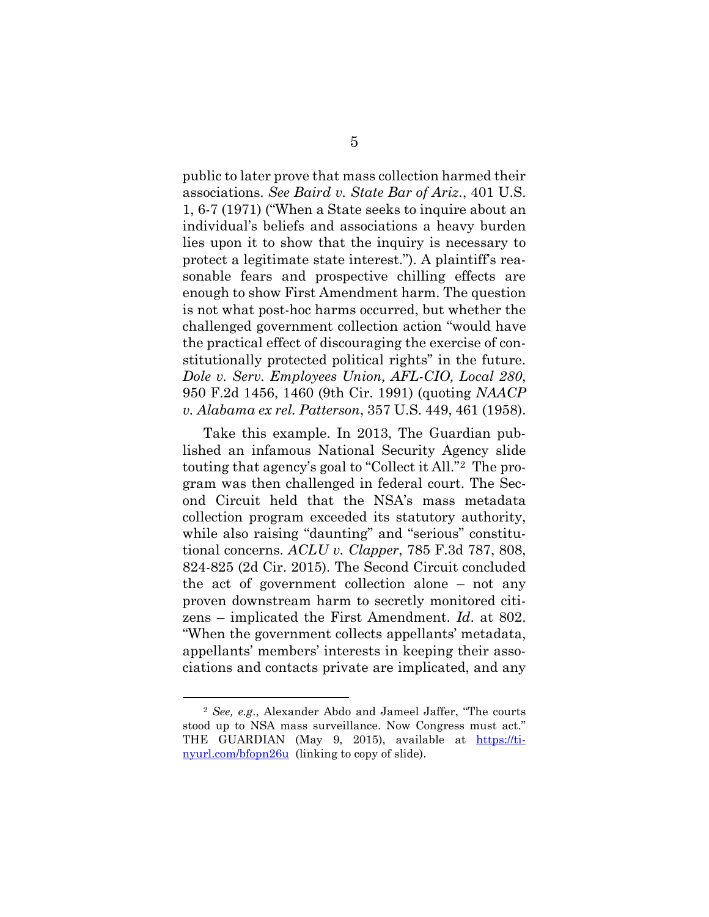public to later prove that mass collection harmed their associations. *See Baird v. State Bar of Ariz*., 401 U.S. 1, 6-7 (1971) ("When a State seeks to inquire about an individual's beliefs and associations a heavy burden lies upon it to show that the inquiry is necessary to protect a legitimate state interest."). A plaintiff's reasonable fears and prospective chilling effects are enough to show First Amendment harm. The question is not what post-hoc harms occurred, but whether the challenged government collection action "would have the practical effect of discouraging the exercise of constitutionally protected political rights" in the future. *Dole v. Serv. Employees Union, AFL-CIO, Local 280*, 950 F.2d 1456, 1460 (9th Cir. 1991) (quoting *NAACP v. Alabama ex rel. Patterson*, 357 U.S. 449, 461 (1958).

Take this example. In 2013, The Guardian published an infamous National Security Agency slide touting that agency's goal to "Collect it All."[2](#page-14-0) The program was then challenged in federal court. The Second Circuit held that the NSA's mass metadata collection program exceeded its statutory authority, while also raising "daunting" and "serious" constitutional concerns. *ACLU v. Clapper*, 785 F.3d 787, 808, 824-825 (2d Cir. 2015). The Second Circuit concluded the act of government collection alone – not any proven downstream harm to secretly monitored citizens – implicated the First Amendment. *Id*. at 802. "When the government collects appellants' metadata, appellants' members' interests in keeping their associations and contacts private are implicated, and any

<sup>2</sup> *See, e.g*., Alexander Abdo and Jameel Jaffer, "The courts stood up to NSA mass surveillance. Now Congress must act." THE GUARDIAN (May 9, 2015), available at [https://ti](https://tinyurl.com/bfopn26u)[nyurl.com/bfopn26u](https://tinyurl.com/bfopn26u) (linking to copy of slide).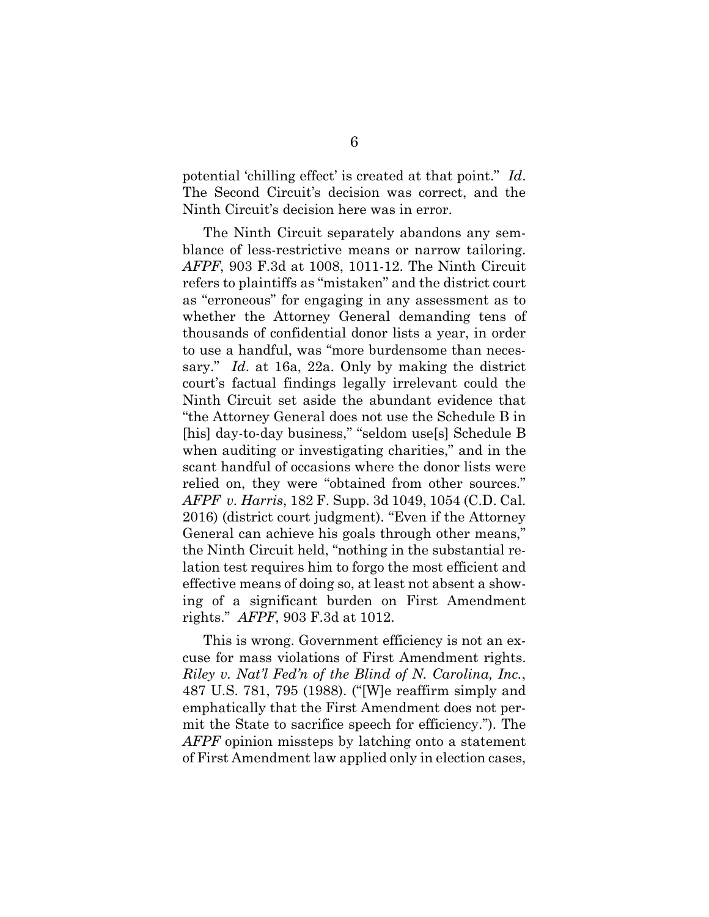potential 'chilling effect' is created at that point." *Id*. The Second Circuit's decision was correct, and the Ninth Circuit's decision here was in error.

The Ninth Circuit separately abandons any semblance of less-restrictive means or narrow tailoring. *AFPF*, 903 F.3d at 1008, 1011-12. The Ninth Circuit refers to plaintiffs as "mistaken" and the district court as "erroneous" for engaging in any assessment as to whether the Attorney General demanding tens of thousands of confidential donor lists a year, in order to use a handful, was "more burdensome than necessary." *Id*. at 16a, 22a. Only by making the district court's factual findings legally irrelevant could the Ninth Circuit set aside the abundant evidence that "the Attorney General does not use the Schedule B in [his] day-to-day business," "seldom use[s] Schedule B when auditing or investigating charities," and in the scant handful of occasions where the donor lists were relied on, they were "obtained from other sources." *AFPF v. Harris*, 182 F. Supp. 3d 1049, 1054 (C.D. Cal. 2016) (district court judgment). "Even if the Attorney General can achieve his goals through other means," the Ninth Circuit held, "nothing in the substantial relation test requires him to forgo the most efficient and effective means of doing so, at least not absent a showing of a significant burden on First Amendment rights." *AFPF*, 903 F.3d at 1012.

<span id="page-14-0"></span>This is wrong. Government efficiency is not an excuse for mass violations of First Amendment rights. *Riley v. Nat'l Fed'n of the Blind of N. Carolina, Inc.*, 487 U.S. 781, 795 (1988). ("[W]e reaffirm simply and emphatically that the First Amendment does not permit the State to sacrifice speech for efficiency."). The *AFPF* opinion missteps by latching onto a statement of First Amendment law applied only in election cases,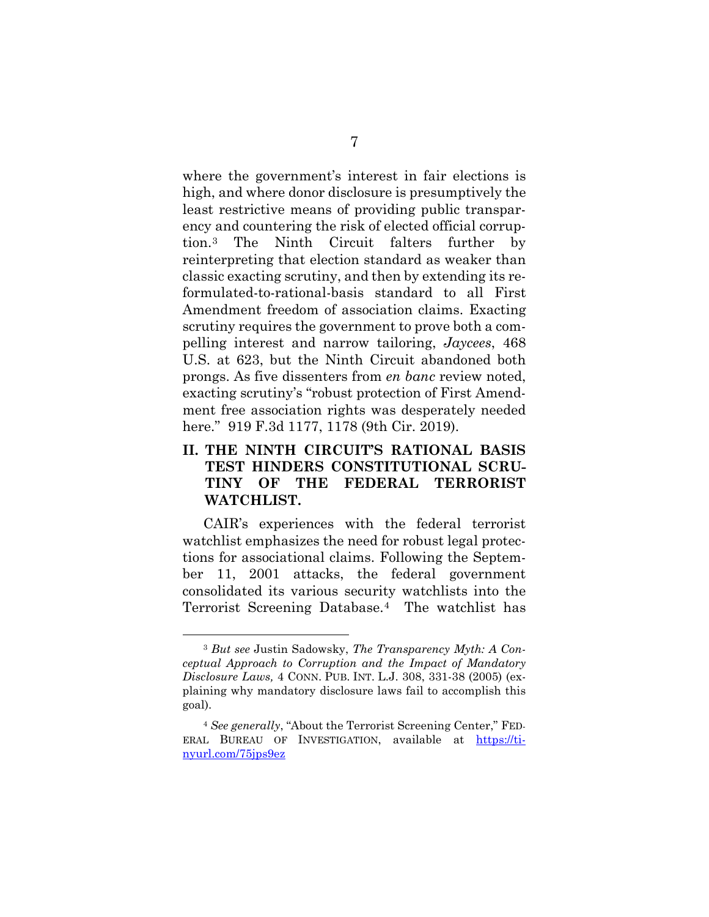where the government's interest in fair elections is high, and where donor disclosure is presumptively the least restrictive means of providing public transparency and countering the risk of elected official corruption.[3](#page-15-1) The Ninth Circuit falters further by reinterpreting that election standard as weaker than classic exacting scrutiny, and then by extending its reformulated-to-rational-basis standard to all First Amendment freedom of association claims. Exacting scrutiny requires the government to prove both a compelling interest and narrow tailoring, *Jaycees*, 468 U.S. at 623, but the Ninth Circuit abandoned both prongs. As five dissenters from *en banc* review noted, exacting scrutiny's "robust protection of First Amendment free association rights was desperately needed here." 919 F.3d 1177, 1178 (9th Cir. 2019).

## <span id="page-15-0"></span>**II. THE NINTH CIRCUIT'S RATIONAL BASIS TEST HINDERS CONSTITUTIONAL SCRU-TINY OF THE FEDERAL TERRORIST WATCHLIST.**

CAIR's experiences with the federal terrorist watchlist emphasizes the need for robust legal protections for associational claims. Following the September 11, 2001 attacks, the federal government consolidated its various security watchlists into the Terrorist Screening Database.[4](#page-16-0) The watchlist has

<sup>3</sup> *But see* Justin Sadowsky, *The Transparency Myth: A Conceptual Approach to Corruption and the Impact of Mandatory Disclosure Laws,* 4 CONN. PUB. INT. L.J. 308, 331-38 (2005) (explaining why mandatory disclosure laws fail to accomplish this goal).

<span id="page-15-1"></span><sup>4</sup> *See generally*, "About the Terrorist Screening Center," FED-ERAL BUREAU OF INVESTIGATION, available at [https://ti](https://tinyurl.com/75jps9ez)[nyurl.com/75jps9ez](https://tinyurl.com/75jps9ez)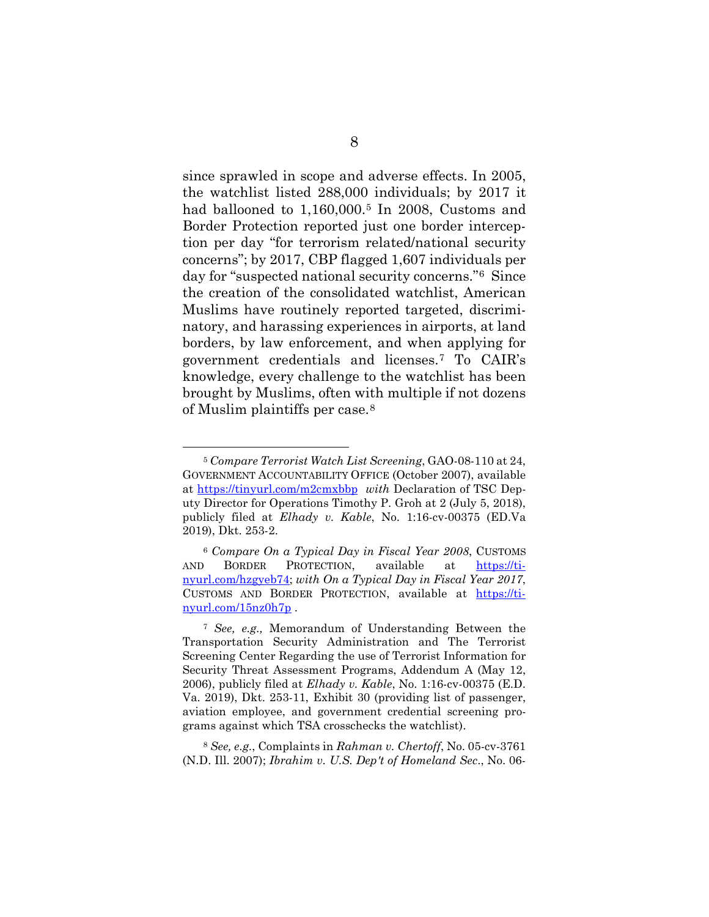since sprawled in scope and adverse effects. In 2005, the watchlist listed 288,000 individuals; by 2017 it had ballooned to 1,160,000.<sup>[5](#page-17-0)</sup> In 2008, Customs and Border Protection reported just one border interception per day "for terrorism related/national security concerns"; by 2017, CBP flagged 1,607 individuals per day for "suspected national security concerns."[6](#page-17-1) Since the creation of the consolidated watchlist, American Muslims have routinely reported targeted, discriminatory, and harassing experiences in airports, at land borders, by law enforcement, and when applying for government credentials and licenses.[7](#page-17-2) To CAIR's knowledge, every challenge to the watchlist has been brought by Muslims, often with multiple if not dozens of Muslim plaintiffs per case.[8](#page-18-0)

<span id="page-16-0"></span><sup>8</sup> *See, e.g.*, Complaints in *Rahman v. Chertoff*, No. 05-cv-3761 (N.D. Ill. 2007); *Ibrahim v. U.S. Dep't of Homeland Sec*., No. 06-

<sup>5</sup> *Compare Terrorist Watch List Screening*, GAO-08-110 at 24, GOVERNMENT ACCOUNTABILITY OFFICE (October 2007), available at<https://tinyurl.com/m2cmxbbp>*with* Declaration of TSC Deputy Director for Operations Timothy P. Groh at 2 (July 5, 2018), publicly filed at *Elhady v. Kable*, No. 1:16-cv-00375 (ED.Va 2019), Dkt. 253-2.

<sup>6</sup> *Compare On a Typical Day in Fiscal Year 2008*, CUSTOMS AND BORDER PROTECTION, available at [https://ti](https://tinyurl.com/hzgyeb74)[nyurl.com/hzgyeb74;](https://tinyurl.com/hzgyeb74) *with On a Typical Day in Fiscal Year 2017*, CUSTOMS AND BORDER PROTECTION, available at [https://ti](https://tinyurl.com/15nz0h7p)[nyurl.com/15nz0h7p](https://tinyurl.com/15nz0h7p) .

<sup>7</sup> *See, e.g.,* Memorandum of Understanding Between the Transportation Security Administration and The Terrorist Screening Center Regarding the use of Terrorist Information for Security Threat Assessment Programs, Addendum A (May 12, 2006), publicly filed at *Elhady v. Kable*, No. 1:16-cv-00375 (E.D. Va. 2019), Dkt. 253-11, Exhibit 30 (providing list of passenger, aviation employee, and government credential screening programs against which TSA crosschecks the watchlist).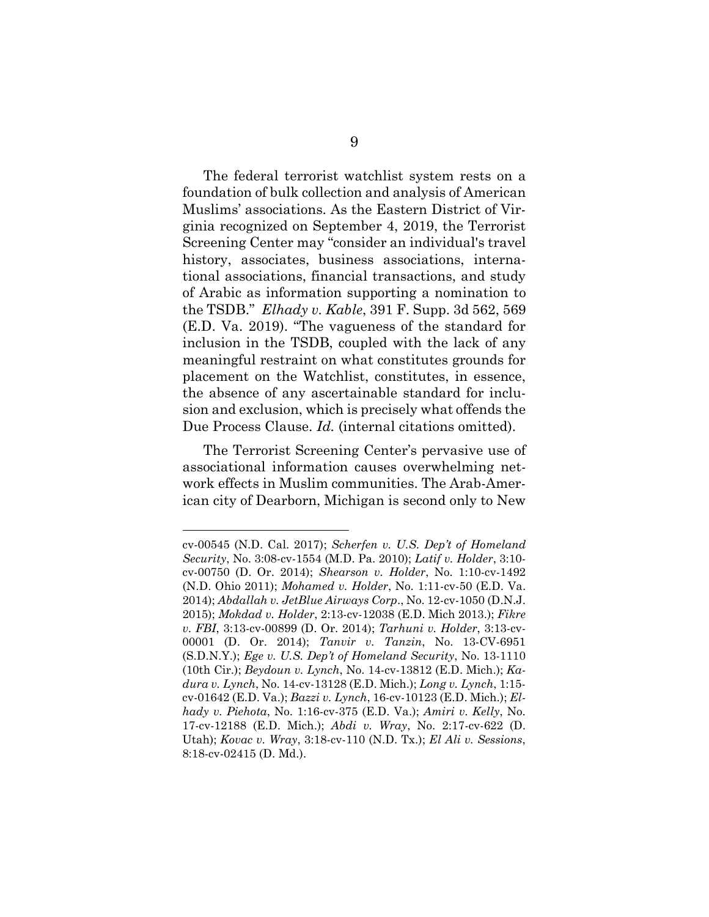The federal terrorist watchlist system rests on a foundation of bulk collection and analysis of American Muslims' associations. As the Eastern District of Virginia recognized on September 4, 2019, the Terrorist Screening Center may "consider an individual's travel history, associates, business associations, international associations, financial transactions, and study of Arabic as information supporting a nomination to the TSDB." *Elhady v. Kable*, 391 F. Supp. 3d 562, 569 (E.D. Va. 2019). "The vagueness of the standard for inclusion in the TSDB, coupled with the lack of any meaningful restraint on what constitutes grounds for placement on the Watchlist, constitutes, in essence, the absence of any ascertainable standard for inclusion and exclusion, which is precisely what offends the Due Process Clause. *Id.* (internal citations omitted).

<span id="page-17-0"></span>The Terrorist Screening Center's pervasive use of associational information causes overwhelming network effects in Muslim communities. The Arab-American city of Dearborn, Michigan is second only to New

<span id="page-17-2"></span><span id="page-17-1"></span>cv-00545 (N.D. Cal. 2017); *Scherfen v. U.S. Dep't of Homeland Security*, No. 3:08-cv-1554 (M.D. Pa. 2010); *Latif v. Holder*, 3:10 cv-00750 (D. Or. 2014); *Shearson v. Holder*, No. 1:10-cv-1492 (N.D. Ohio 2011); *Mohamed v. Holder*, No. 1:11-cv-50 (E.D. Va. 2014); *Abdallah v. JetBlue Airways Corp*., No. 12-cv-1050 (D.N.J. 2015); *Mokdad v. Holder*, 2:13-cv-12038 (E.D. Mich 2013.); *Fikre v. FBI*, 3:13-cv-00899 (D. Or. 2014); *Tarhuni v. Holder*, 3:13-cv-00001 (D. Or. 2014); *Tanvir v. Tanzin*, No. 13-CV-6951 (S.D.N.Y.); *Ege v. U.S. Dep't of Homeland Security*, No. 13-1110 (10th Cir.); *Beydoun v. Lynch*, No. 14-cv-13812 (E.D. Mich.); *Kadura v. Lynch*, No. 14-cv-13128 (E.D. Mich.); *Long v. Lynch*, 1:15 cv-01642 (E.D. Va.); *Bazzi v. Lynch*, 16-cv-10123 (E.D. Mich.); *Elhady v. Piehota*, No. 1:16-cv-375 (E.D. Va.); *Amiri v. Kelly*, No. 17-cv-12188 (E.D. Mich.); *Abdi v. Wray*, No. 2:17-cv-622 (D. Utah); *Kovac v. Wray*, 3:18-cv-110 (N.D. Tx.); *El Ali v. Sessions*, 8:18-cv-02415 (D. Md.).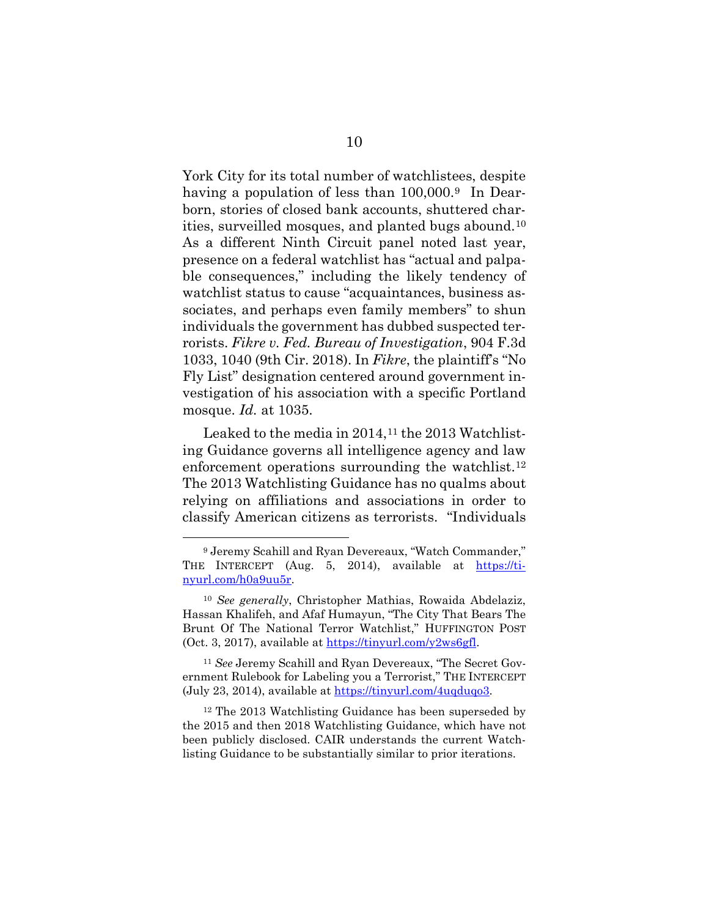York City for its total number of watchlistees, despite having a population of less than 100,000.<sup>[9](#page-20-0)</sup> In Dearborn, stories of closed bank accounts, shuttered charities, surveilled mosques, and planted bugs abound.[10](#page-20-1) As a different Ninth Circuit panel noted last year, presence on a federal watchlist has "actual and palpable consequences," including the likely tendency of watchlist status to cause "acquaintances, business associates, and perhaps even family members" to shun individuals the government has dubbed suspected terrorists. *Fikre v. Fed. Bureau of Investigation*, 904 F.3d 1033, 1040 (9th Cir. 2018). In *Fikre*, the plaintiff's "No Fly List" designation centered around government investigation of his association with a specific Portland mosque. *Id.* at 1035.

<span id="page-18-0"></span>Leaked to the media in  $2014$ ,<sup>[11](#page-21-0)</sup> the  $2013$  Watchlisting Guidance governs all intelligence agency and law enforcement operations surrounding the watchlist.<sup>12</sup> The 2013 Watchlisting Guidance has no qualms about relying on affiliations and associations in order to classify American citizens as terrorists. "Individuals

<sup>9</sup> Jeremy Scahill and Ryan Devereaux, "Watch Commander," THE INTERCEPT (Aug. 5, 2014), available at [https://ti](https://tinyurl.com/h0a9uu5r)[nyurl.com/h0a9uu5r.](https://tinyurl.com/h0a9uu5r)

<sup>10</sup> *See generally*, Christopher Mathias, Rowaida Abdelaziz, Hassan Khalifeh, and Afaf Humayun, "The City That Bears The Brunt Of The National Terror Watchlist," HUFFINGTON POST (Oct. 3, 2017), available at [https://tinyurl.com/y2ws6gfl.](https://tinyurl.com/y2ws6gfl)

<sup>11</sup> *See* Jeremy Scahill and Ryan Devereaux, "The Secret Government Rulebook for Labeling you a Terrorist," THE INTERCEPT (July 23, 2014), available at [https://tinyurl.com/4uqduqo3.](https://tinyurl.com/4uqduqo3)

<sup>12</sup> The 2013 Watchlisting Guidance has been superseded by the 2015 and then 2018 Watchlisting Guidance, which have not been publicly disclosed. CAIR understands the current Watchlisting Guidance to be substantially similar to prior iterations.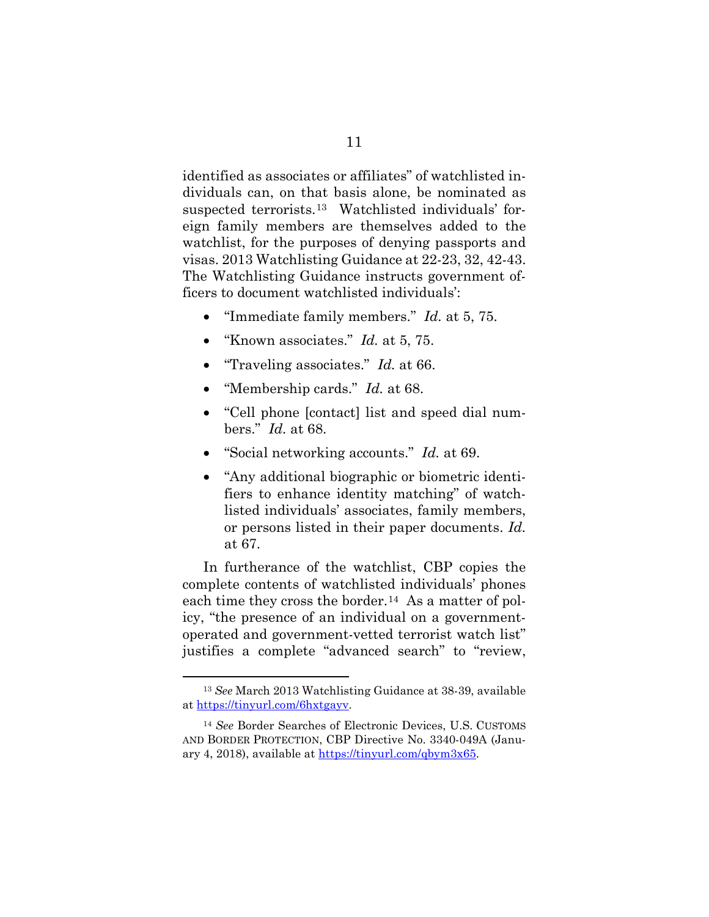identified as associates or affiliates" of watchlisted individuals can, on that basis alone, be nominated as suspected terrorists.[13](#page-21-2) Watchlisted individuals' foreign family members are themselves added to the watchlist, for the purposes of denying passports and visas. 2013 Watchlisting Guidance at 22-23, 32, 42-43. The Watchlisting Guidance instructs government officers to document watchlisted individuals':

- "Immediate family members." *Id.* at 5, 75.
- "Known associates." *Id.* at 5, 75.
- "Traveling associates." *Id.* at 66.
- "Membership cards." *Id.* at 68.
- "Cell phone [contact] list and speed dial numbers." *Id.* at 68.
- "Social networking accounts." *Id.* at 69.
- "Any additional biographic or biometric identifiers to enhance identity matching" of watchlisted individuals' associates, family members, or persons listed in their paper documents. *Id.*  at 67.

In furtherance of the watchlist, CBP copies the complete contents of watchlisted individuals' phones each time they cross the border.<sup>[14](#page-22-0)</sup> As a matter of policy, "the presence of an individual on a governmentoperated and government-vetted terrorist watch list" justifies a complete "advanced search" to "review,

<sup>13</sup> *See* March 2013 Watchlisting Guidance at 38-39, available at [https://tinyurl.com/6hxtgayv.](https://tinyurl.com/6hxtgayv)

<sup>14</sup> *See* Border Searches of Electronic Devices, U.S. CUSTOMS AND BORDER PROTECTION, CBP Directive No. 3340-049A (January 4, 2018), available at [https://tinyurl.com/qbym3x65.](https://tinyurl.com/qbym3x65)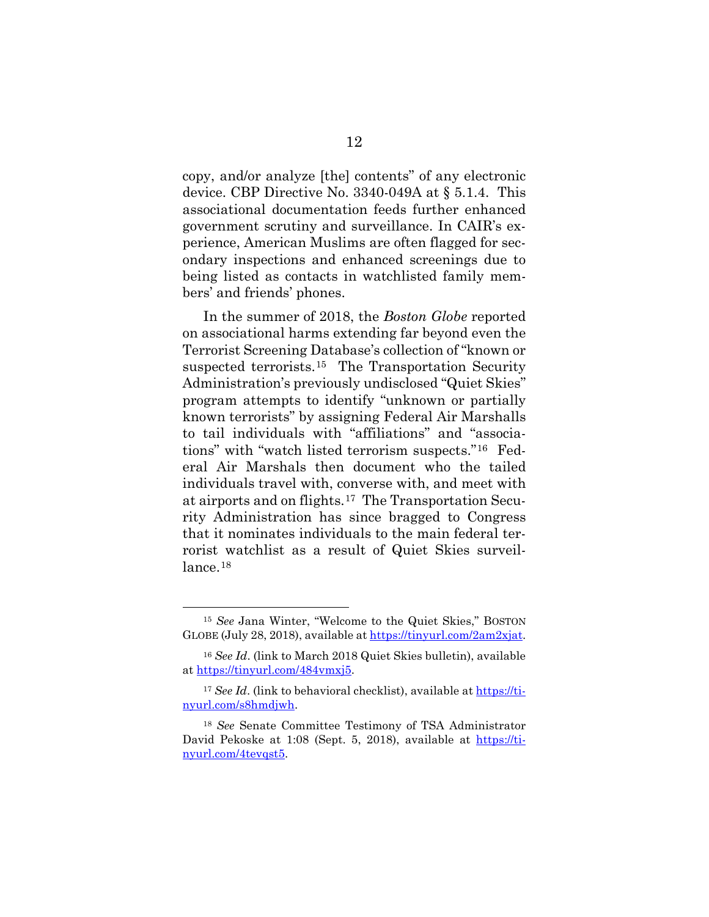copy, and/or analyze [the] contents" of any electronic device. CBP Directive No. 3340-049A at § 5.1.4. This associational documentation feeds further enhanced government scrutiny and surveillance. In CAIR's experience, American Muslims are often flagged for secondary inspections and enhanced screenings due to being listed as contacts in watchlisted family members' and friends' phones.

In the summer of 2018, the *Boston Globe* reported on associational harms extending far beyond even the Terrorist Screening Database's collection of "known or suspected terrorists.[15](#page-23-1) The Transportation Security Administration's previously undisclosed "Quiet Skies" program attempts to identify "unknown or partially known terrorists" by assigning Federal Air Marshalls to tail individuals with "affiliations" and "associations" with "watch listed terrorism suspects."[16](#page-23-2) Federal Air Marshals then document who the tailed individuals travel with, converse with, and meet with at airports and on flights.[17](#page-23-3) The Transportation Security Administration has since bragged to Congress that it nominates individuals to the main federal terrorist watchlist as a result of Quiet Skies surveillance.<sup>18</sup>

<span id="page-20-1"></span><span id="page-20-0"></span><sup>15</sup> *See* Jana Winter, "Welcome to the Quiet Skies," BOSTON GLOBE (July 28, 2018), available a[t https://tinyurl.com/2am2xjat.](https://tinyurl.com/2am2xjat)

<sup>16</sup> *See Id*. (link to March 2018 Quiet Skies bulletin), available at [https://tinyurl.com/484vmxj5.](https://tinyurl.com/484vmxj5)

<sup>17</sup> *See Id*. (link to behavioral checklist), available at [https://ti](https://tinyurl.com/s8hmdjwh)[nyurl.com/s8hmdjwh.](https://tinyurl.com/s8hmdjwh)

<sup>18</sup> *See* Senate Committee Testimony of TSA Administrator David Pekoske at 1:08 (Sept. 5, 2018), available at [https://ti](https://tinyurl.com/4tevqst5)[nyurl.com/4tevqst5.](https://tinyurl.com/4tevqst5)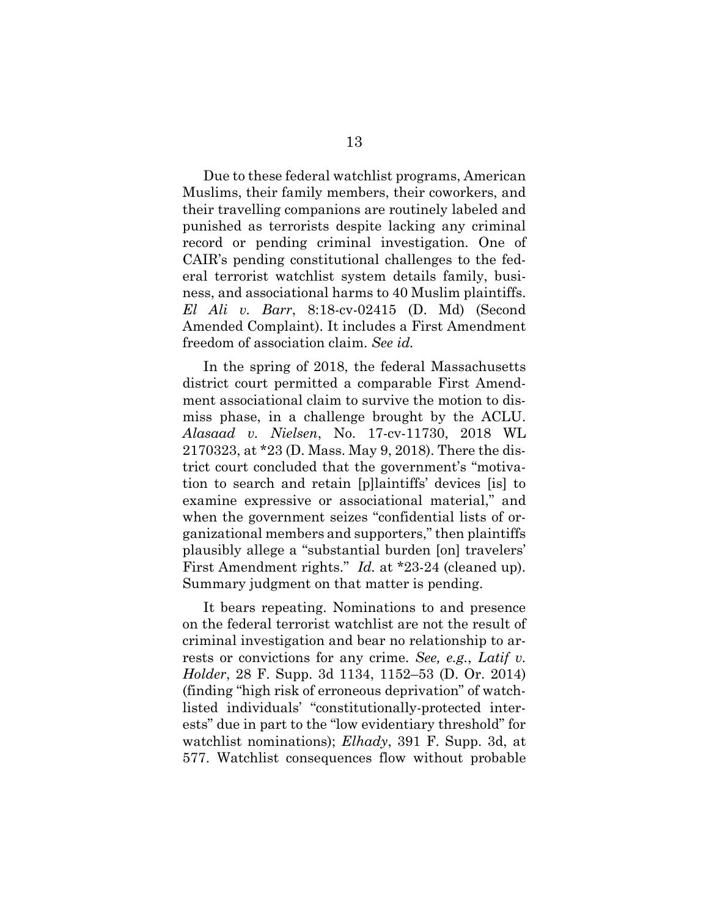Due to these federal watchlist programs, American Muslims, their family members, their coworkers, and their travelling companions are routinely labeled and punished as terrorists despite lacking any criminal record or pending criminal investigation. One of CAIR's pending constitutional challenges to the federal terrorist watchlist system details family, business, and associational harms to 40 Muslim plaintiffs. *El Ali v. Barr*, 8:18-cv-02415 (D. Md) (Second Amended Complaint). It includes a First Amendment freedom of association claim. *See id.* 

In the spring of 2018, the federal Massachusetts district court permitted a comparable First Amendment associational claim to survive the motion to dismiss phase, in a challenge brought by the ACLU. *Alasaad v. Nielsen*, No. 17-cv-11730, 2018 WL 2170323, at \*23 (D. Mass. May 9, 2018). There the district court concluded that the government's "motivation to search and retain [p]laintiffs' devices [is] to examine expressive or associational material," and when the government seizes "confidential lists of organizational members and supporters," then plaintiffs plausibly allege a "substantial burden [on] travelers' First Amendment rights." *Id.* at \*23-24 (cleaned up). Summary judgment on that matter is pending.

<span id="page-21-2"></span><span id="page-21-1"></span><span id="page-21-0"></span>It bears repeating. Nominations to and presence on the federal terrorist watchlist are not the result of criminal investigation and bear no relationship to arrests or convictions for any crime. *See, e.g.*, *Latif v. Holder*, 28 F. Supp. 3d 1134, 1152–53 (D. Or. 2014) (finding "high risk of erroneous deprivation" of watchlisted individuals' "constitutionally-protected interests" due in part to the "low evidentiary threshold" for watchlist nominations); *Elhady*, 391 F. Supp. 3d, at 577. Watchlist consequences flow without probable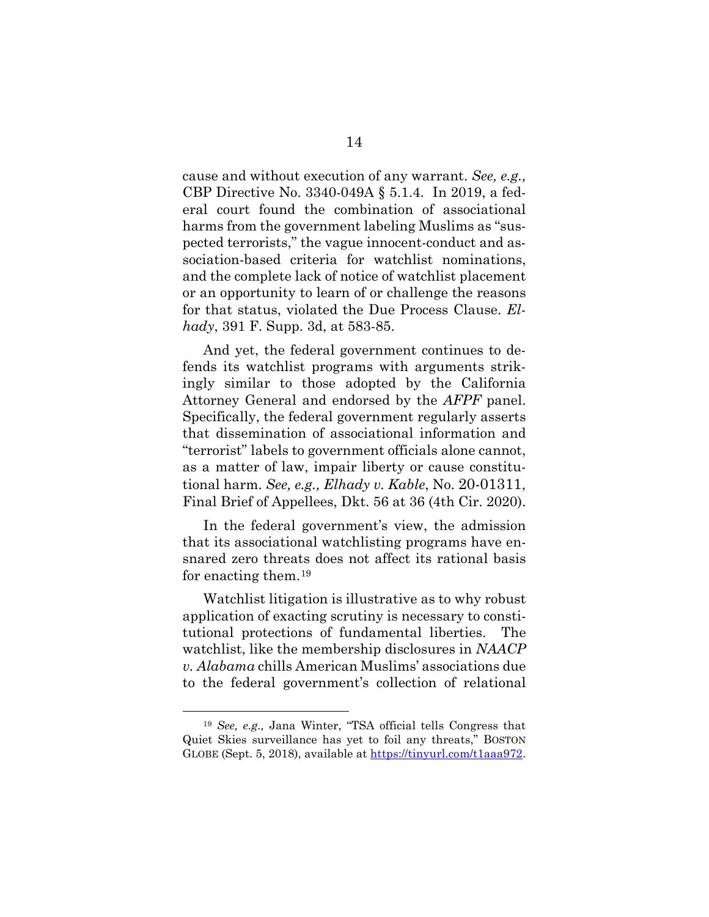cause and without execution of any warrant. *See, e.g.,* CBP Directive No. 3340-049A § 5.1.4. In 2019, a federal court found the combination of associational harms from the government labeling Muslims as "suspected terrorists," the vague innocent-conduct and association-based criteria for watchlist nominations, and the complete lack of notice of watchlist placement or an opportunity to learn of or challenge the reasons for that status, violated the Due Process Clause. *Elhady*, 391 F. Supp. 3d, at 583-85.

And yet, the federal government continues to defends its watchlist programs with arguments strikingly similar to those adopted by the California Attorney General and endorsed by the *AFPF* panel. Specifically, the federal government regularly asserts that dissemination of associational information and "terrorist" labels to government officials alone cannot, as a matter of law, impair liberty or cause constitutional harm. *See, e.g., Elhady v. Kable*, No. 20-01311, Final Brief of Appellees, Dkt. 56 at 36 (4th Cir. 2020).

In the federal government's view, the admission that its associational watchlisting programs have ensnared zero threats does not affect its rational basis for enacting them.[19](#page-23-5)

Watchlist litigation is illustrative as to why robust application of exacting scrutiny is necessary to constitutional protections of fundamental liberties. The watchlist, like the membership disclosures in *NAACP v. Alabama* chills American Muslims' associations due to the federal government's collection of relational

<span id="page-22-0"></span><sup>19</sup> *See, e.g.,* Jana Winter, "TSA official tells Congress that Quiet Skies surveillance has yet to foil any threats," BOSTON GLOBE (Sept. 5, 2018), available at [https://tinyurl.com/t1aaa972.](https://tinyurl.com/t1aaa972)